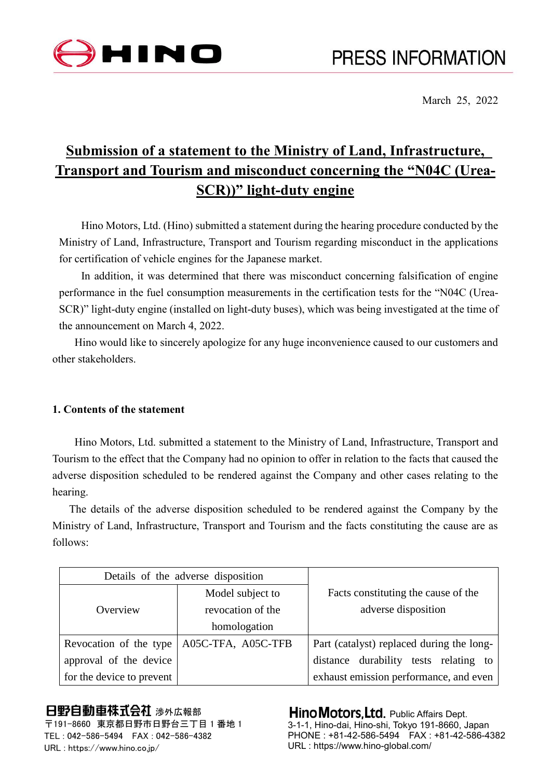

March 25, 2022

# **Submission of a statement to the Ministry of Land, Infrastructure, Transport and Tourism and misconduct concerning the "N04C (Urea-SCR))" light-duty engine**

Hino Motors, Ltd. (Hino) submitted a statement during the hearing procedure conducted by the Ministry of Land, Infrastructure, Transport and Tourism regarding misconduct in the applications for certification of vehicle engines for the Japanese market.

In addition, it was determined that there was misconduct concerning falsification of engine performance in the fuel consumption measurements in the certification tests for the "N04C (Urea-SCR)" light-duty engine (installed on light-duty buses), which was being investigated at the time of the announcement on March 4, 2022.

Hino would like to sincerely apologize for any huge inconvenience caused to our customers and other stakeholders.

## **1. Contents of the statement**

Hino Motors, Ltd. submitted a statement to the Ministry of Land, Infrastructure, Transport and Tourism to the effect that the Company had no opinion to offer in relation to the facts that caused the adverse disposition scheduled to be rendered against the Company and other cases relating to the hearing.

The details of the adverse disposition scheduled to be rendered against the Company by the Ministry of Land, Infrastructure, Transport and Tourism and the facts constituting the cause are as follows:

| Details of the adverse disposition |                                             |                                                            |
|------------------------------------|---------------------------------------------|------------------------------------------------------------|
| Overview                           | Model subject to<br>revocation of the       | Facts constituting the cause of the<br>adverse disposition |
|                                    | homologation                                |                                                            |
|                                    | Revocation of the type   A05C-TFA, A05C-TFB | Part (catalyst) replaced during the long-                  |
| approval of the device             |                                             | distance durability tests relating to                      |
| for the device to prevent          |                                             | exhaust emission performance, and even                     |

## 日野自動車株式会社 涉外広報部

〒191-8660 東京都日野市日野台三丁目 1 番地 1 TEL : 042-586-5494 FAX : 042-586-4382 URL : https://www.hino.co.jp/

**Hino Motors, Ltd.** Public Affairs Dept. 3-1-1, Hino-dai, Hino-shi, Tokyo 191-8660, Japan PHONE : +81-42-586-5494 FAX : +81-42-586-4382 URL : https://www.hino-global.com/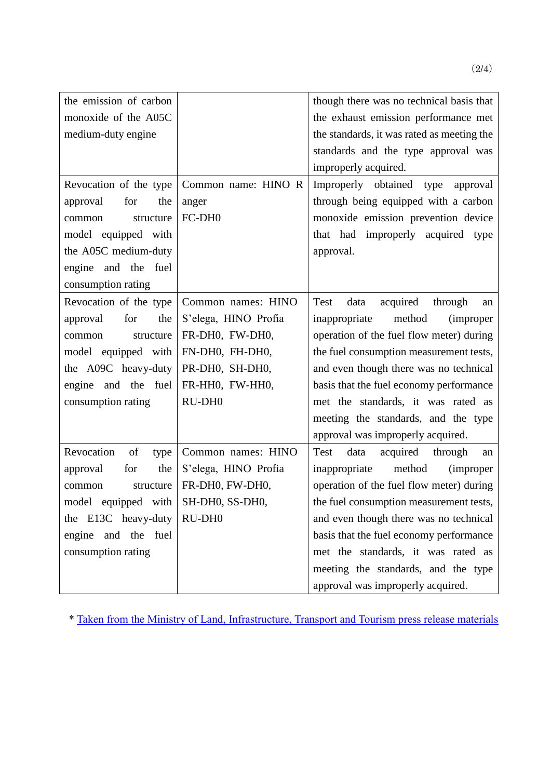| the emission of carbon   |                      | though there was no technical basis that     |
|--------------------------|----------------------|----------------------------------------------|
| monoxide of the A05C     |                      | the exhaust emission performance met         |
| medium-duty engine       |                      | the standards, it was rated as meeting the   |
|                          |                      | standards and the type approval was          |
|                          |                      | improperly acquired.                         |
| Revocation of the type   | Common name: HINO R  | Improperly obtained type<br>approval         |
| for<br>approval<br>the   | anger                | through being equipped with a carbon         |
| structure<br>common      | FC-DH <sub>0</sub>   | monoxide emission prevention device          |
| model equipped with      |                      | that had improperly acquired type            |
| the A05C medium-duty     |                      | approval.                                    |
| engine and the fuel      |                      |                                              |
| consumption rating       |                      |                                              |
| Revocation of the type   | Common names: HINO   | Test<br>data<br>acquired<br>through<br>an    |
| for<br>the<br>approval   | S'elega, HINO Profia | inappropriate<br>method<br><i>(improper)</i> |
| structure<br>common      | FR-DH0, FW-DH0,      | operation of the fuel flow meter) during     |
| model equipped with      | FN-DH0, FH-DH0,      | the fuel consumption measurement tests,      |
| the A09C heavy-duty      | PR-DH0, SH-DH0,      | and even though there was no technical       |
| engine and the fuel      | FR-HH0, FW-HH0,      | basis that the fuel economy performance      |
| consumption rating       | RU-DH <sub>0</sub>   | met the standards, it was rated as           |
|                          |                      | meeting the standards, and the type          |
|                          |                      | approval was improperly acquired.            |
| Revocation<br>of<br>type | Common names: HINO   | data<br>acquired<br>through<br>Test<br>an    |
| the<br>approval<br>for   | S'elega, HINO Profia | method<br>inappropriate<br><i>(improper)</i> |
| structure<br>common      | FR-DH0, FW-DH0,      | operation of the fuel flow meter) during     |
| model equipped with      | SH-DH0, SS-DH0,      | the fuel consumption measurement tests,      |
| the E13C heavy-duty      | RU-DH <sub>0</sub>   | and even though there was no technical       |
| engine and the fuel      |                      | basis that the fuel economy performance      |
| consumption rating       |                      | met the standards, it was rated as           |
|                          |                      | meeting the standards, and the type          |
|                          |                      | approval was improperly acquired.            |

\* Taken [from the Ministry of Land, Infrastructure, Transport and Tourism press release materials](https://www.mlit.go.jp/report/press/jidosha08_hh_004384.html)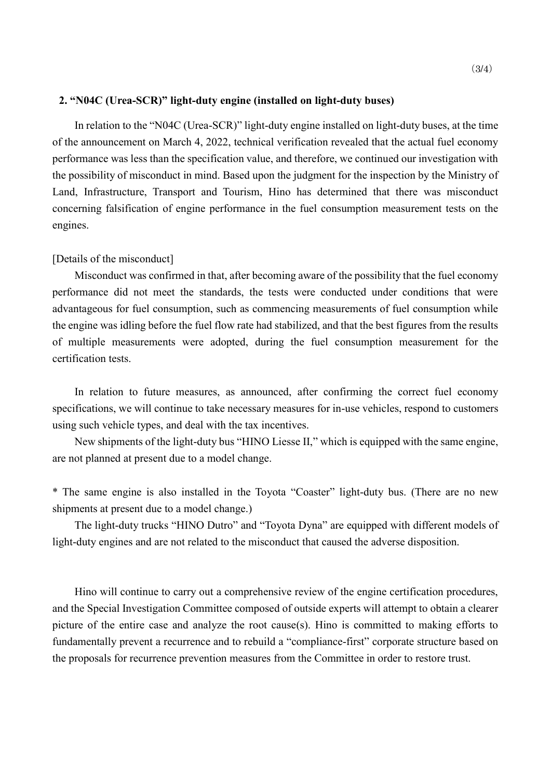### **2. "N04C (Urea-SCR)" light-duty engine (installed on light-duty buses)**

In relation to the "N04C (Urea-SCR)" light-duty engine installed on light-duty buses, at the time of the announcement on March 4, 2022, technical verification revealed that the actual fuel economy performance was less than the specification value, and therefore, we continued our investigation with the possibility of misconduct in mind. Based upon the judgment for the inspection by the Ministry of Land, Infrastructure, Transport and Tourism, Hino has determined that there was misconduct concerning falsification of engine performance in the fuel consumption measurement tests on the engines.

#### [Details of the misconduct]

Misconduct was confirmed in that, after becoming aware of the possibility that the fuel economy performance did not meet the standards, the tests were conducted under conditions that were advantageous for fuel consumption, such as commencing measurements of fuel consumption while the engine was idling before the fuel flow rate had stabilized, and that the best figures from the results of multiple measurements were adopted, during the fuel consumption measurement for the certification tests.

In relation to future measures, as announced, after confirming the correct fuel economy specifications, we will continue to take necessary measures for in-use vehicles, respond to customers using such vehicle types, and deal with the tax incentives.

New shipments of the light-duty bus "HINO Liesse II," which is equipped with the same engine, are not planned at present due to a model change.

\* The same engine is also installed in the Toyota "Coaster" light-duty bus. (There are no new shipments at present due to a model change.)

The light-duty trucks "HINO Dutro" and "Toyota Dyna" are equipped with different models of light-duty engines and are not related to the misconduct that caused the adverse disposition.

Hino will continue to carry out a comprehensive review of the engine certification procedures, and the Special Investigation Committee composed of outside experts will attempt to obtain a clearer picture of the entire case and analyze the root cause(s). Hino is committed to making efforts to fundamentally prevent a recurrence and to rebuild a "compliance-first" corporate structure based on the proposals for recurrence prevention measures from the Committee in order to restore trust.